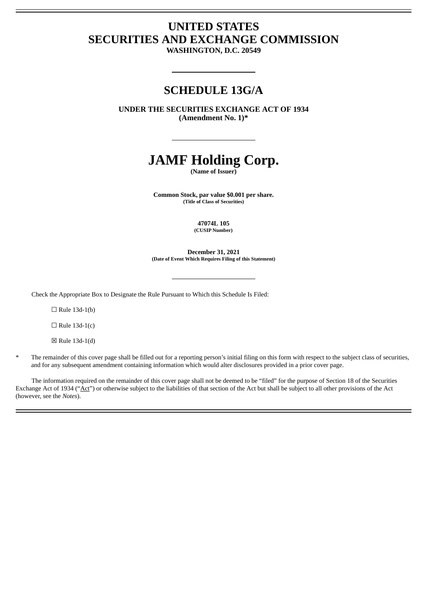# **UNITED STATES SECURITIES AND EXCHANGE COMMISSION**

**WASHINGTON, D.C. 20549**

# **SCHEDULE 13G/A**

**UNDER THE SECURITIES EXCHANGE ACT OF 1934 (Amendment No. 1)\***

# **JAMF Holding Corp.**

**(Name of Issuer)**

**Common Stock, par value \$0.001 per share. (Title of Class of Securities)**

> **47074L 105 (CUSIP Number)**

**December 31, 2021 (Date of Event Which Requires Filing of this Statement)**

Check the Appropriate Box to Designate the Rule Pursuant to Which this Schedule Is Filed:

 $\Box$  Rule 13d-1(b)

 $\Box$  Rule 13d-1(c)

☒ Rule 13d-1(d)

The remainder of this cover page shall be filled out for a reporting person's initial filing on this form with respect to the subject class of securities, and for any subsequent amendment containing information which would alter disclosures provided in a prior cover page.

The information required on the remainder of this cover page shall not be deemed to be "filed" for the purpose of Section 18 of the Securities Exchange Act of 1934 ("Act") or otherwise subject to the liabilities of that section of the Act but shall be subject to all other provisions of the Act (however, see the *Notes*).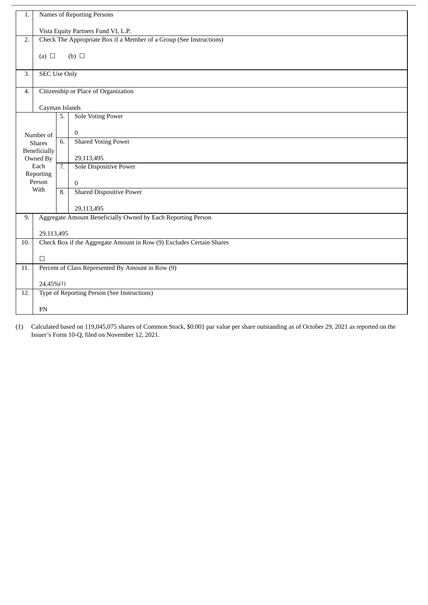| 1.  | Names of Reporting Persons                                          |                  |                                                                      |  |  |
|-----|---------------------------------------------------------------------|------------------|----------------------------------------------------------------------|--|--|
|     | Vista Equity Partners Fund VI, L.P.                                 |                  |                                                                      |  |  |
| 2.  | Check The Appropriate Box if a Member of a Group (See Instructions) |                  |                                                                      |  |  |
|     | (a) $\Box$                                                          |                  | (b) $\Box$                                                           |  |  |
|     |                                                                     |                  |                                                                      |  |  |
| 3.  | <b>SEC Use Only</b>                                                 |                  |                                                                      |  |  |
| 4.  |                                                                     |                  | Citizenship or Place of Organization                                 |  |  |
|     |                                                                     |                  |                                                                      |  |  |
|     | Cayman Islands                                                      | 5.               | <b>Sole Voting Power</b>                                             |  |  |
|     |                                                                     |                  |                                                                      |  |  |
|     | Number of                                                           |                  | $\mathbf{0}$                                                         |  |  |
|     | <b>Shares</b>                                                       | 6.               | <b>Shared Voting Power</b>                                           |  |  |
|     | <b>Beneficially</b><br>Owned By                                     |                  | 29,113,495                                                           |  |  |
|     | Each                                                                | $\overline{7}$ . | Sole Dispositive Power                                               |  |  |
|     | Reporting<br>Person                                                 |                  |                                                                      |  |  |
|     | With                                                                | 8.               | $\Omega$<br><b>Shared Dispositive Power</b>                          |  |  |
|     |                                                                     |                  |                                                                      |  |  |
|     |                                                                     |                  | 29,113,495                                                           |  |  |
| 9.  |                                                                     |                  | Aggregate Amount Beneficially Owned by Each Reporting Person         |  |  |
|     | 29,113,495                                                          |                  |                                                                      |  |  |
| 10. |                                                                     |                  | Check Box if the Aggregate Amount in Row (9) Excludes Certain Shares |  |  |
|     | $\Box$                                                              |                  |                                                                      |  |  |
| 11. |                                                                     |                  | Percent of Class Represented By Amount in Row (9)                    |  |  |
|     |                                                                     |                  |                                                                      |  |  |
|     | 24.45%(1)                                                           |                  |                                                                      |  |  |
| 12. |                                                                     |                  | Type of Reporting Person (See Instructions)                          |  |  |
|     | PN                                                                  |                  |                                                                      |  |  |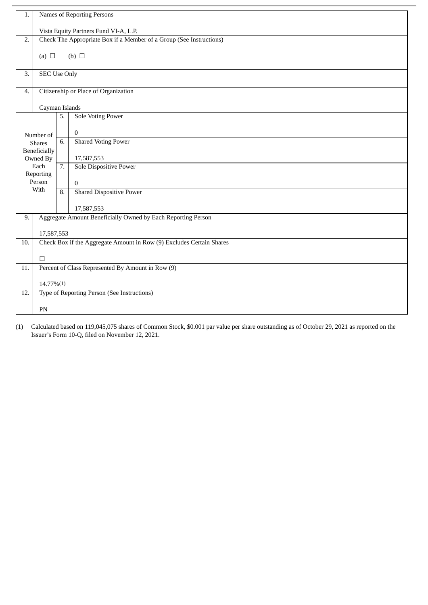| 1.  |                                                                     |                  | Names of Reporting Persons                                           |  |  |
|-----|---------------------------------------------------------------------|------------------|----------------------------------------------------------------------|--|--|
|     |                                                                     |                  |                                                                      |  |  |
|     | Vista Equity Partners Fund VI-A, L.P.                               |                  |                                                                      |  |  |
| 2.  | Check The Appropriate Box if a Member of a Group (See Instructions) |                  |                                                                      |  |  |
|     | (a) $\Box$                                                          |                  | (b) $\Box$                                                           |  |  |
|     |                                                                     |                  |                                                                      |  |  |
| 3.  | <b>SEC Use Only</b>                                                 |                  |                                                                      |  |  |
|     |                                                                     |                  |                                                                      |  |  |
| 4.  |                                                                     |                  | Citizenship or Place of Organization                                 |  |  |
|     | Cayman Islands                                                      |                  |                                                                      |  |  |
|     |                                                                     | 5.               | <b>Sole Voting Power</b>                                             |  |  |
|     |                                                                     |                  | $\mathbf{0}$                                                         |  |  |
|     | Number of<br><b>Shares</b>                                          | 6.               | Shared Voting Power                                                  |  |  |
|     | Beneficially                                                        |                  |                                                                      |  |  |
|     | Owned By                                                            |                  | 17,587,553                                                           |  |  |
|     | Each                                                                | $\overline{7}$ . | Sole Dispositive Power                                               |  |  |
|     | Reporting<br>Person                                                 |                  | $\overline{0}$                                                       |  |  |
|     | With                                                                | 8.               | <b>Shared Dispositive Power</b>                                      |  |  |
|     |                                                                     |                  |                                                                      |  |  |
|     |                                                                     |                  | 17,587,553                                                           |  |  |
| 9.  |                                                                     |                  | Aggregate Amount Beneficially Owned by Each Reporting Person         |  |  |
|     | 17,587,553                                                          |                  |                                                                      |  |  |
| 10. |                                                                     |                  | Check Box if the Aggregate Amount in Row (9) Excludes Certain Shares |  |  |
|     |                                                                     |                  |                                                                      |  |  |
|     | $\Box$                                                              |                  |                                                                      |  |  |
| 11. |                                                                     |                  | Percent of Class Represented By Amount in Row (9)                    |  |  |
|     | 14.77%(1)                                                           |                  |                                                                      |  |  |
| 12. |                                                                     |                  | Type of Reporting Person (See Instructions)                          |  |  |
|     | PN                                                                  |                  |                                                                      |  |  |
|     |                                                                     |                  |                                                                      |  |  |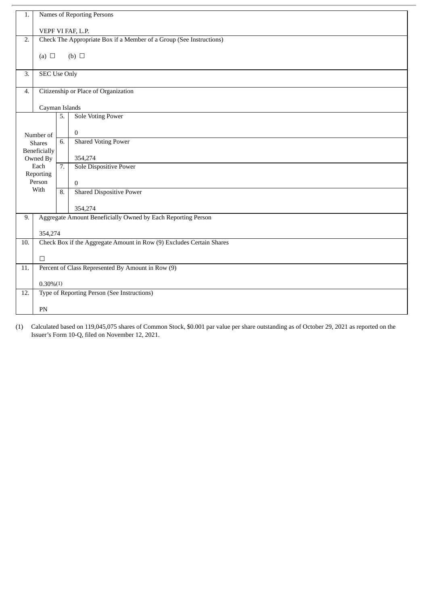| 1.  | Names of Reporting Persons                                           |                  |                                                              |  |  |
|-----|----------------------------------------------------------------------|------------------|--------------------------------------------------------------|--|--|
|     | VEPF VI FAF, L.P.                                                    |                  |                                                              |  |  |
| 2.  | Check The Appropriate Box if a Member of a Group (See Instructions)  |                  |                                                              |  |  |
|     | (a) $\Box$                                                           |                  | (b) $\Box$                                                   |  |  |
|     |                                                                      |                  |                                                              |  |  |
| 3.  | <b>SEC Use Only</b>                                                  |                  |                                                              |  |  |
| 4.  |                                                                      |                  | Citizenship or Place of Organization                         |  |  |
|     | Cayman Islands                                                       |                  |                                                              |  |  |
|     |                                                                      | 5.               | <b>Sole Voting Power</b>                                     |  |  |
|     | Number of                                                            |                  | $\mathbf{0}$                                                 |  |  |
|     | <b>Shares</b>                                                        | 6.               | <b>Shared Voting Power</b>                                   |  |  |
|     | <b>Beneficially</b><br>Owned By                                      |                  | 354,274                                                      |  |  |
|     | Each                                                                 | $\overline{7}$ . | Sole Dispositive Power                                       |  |  |
|     | Reporting<br>Person                                                  |                  | $\Omega$                                                     |  |  |
|     | With                                                                 | 8.               | <b>Shared Dispositive Power</b>                              |  |  |
|     |                                                                      |                  | 354,274                                                      |  |  |
| 9.  |                                                                      |                  | Aggregate Amount Beneficially Owned by Each Reporting Person |  |  |
|     | 354,274                                                              |                  |                                                              |  |  |
| 10. | Check Box if the Aggregate Amount in Row (9) Excludes Certain Shares |                  |                                                              |  |  |
|     | $\Box$                                                               |                  |                                                              |  |  |
| 11. |                                                                      |                  | Percent of Class Represented By Amount in Row (9)            |  |  |
|     | $0.30\%(1)$                                                          |                  |                                                              |  |  |
| 12. |                                                                      |                  | Type of Reporting Person (See Instructions)                  |  |  |
|     | PN                                                                   |                  |                                                              |  |  |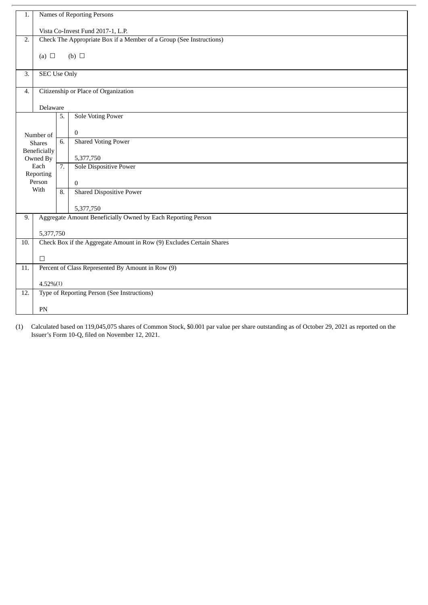| 1.  | Names of Reporting Persons                                          |                  |                                                                      |  |  |
|-----|---------------------------------------------------------------------|------------------|----------------------------------------------------------------------|--|--|
|     |                                                                     |                  |                                                                      |  |  |
|     |                                                                     |                  | Vista Co-Invest Fund 2017-1, L.P.                                    |  |  |
| 2.  | Check The Appropriate Box if a Member of a Group (See Instructions) |                  |                                                                      |  |  |
|     |                                                                     |                  |                                                                      |  |  |
|     | (a) $\Box$                                                          |                  | (b) $\Box$                                                           |  |  |
|     |                                                                     |                  |                                                                      |  |  |
| 3.  | <b>SEC Use Only</b>                                                 |                  |                                                                      |  |  |
|     |                                                                     |                  |                                                                      |  |  |
| 4.  |                                                                     |                  | Citizenship or Place of Organization                                 |  |  |
|     |                                                                     |                  |                                                                      |  |  |
|     | Delaware                                                            |                  |                                                                      |  |  |
|     |                                                                     | 5.               | <b>Sole Voting Power</b>                                             |  |  |
|     |                                                                     |                  |                                                                      |  |  |
|     | Number of                                                           |                  | $\mathbf{0}$                                                         |  |  |
|     | <b>Shares</b>                                                       | 6.               | <b>Shared Voting Power</b>                                           |  |  |
|     | Beneficially                                                        |                  |                                                                      |  |  |
|     | Owned By                                                            |                  | 5,377,750                                                            |  |  |
|     | Each                                                                | $\overline{7}$ . | Sole Dispositive Power                                               |  |  |
|     | Reporting                                                           |                  |                                                                      |  |  |
|     | Person<br>With                                                      |                  | $\mathbf{0}$                                                         |  |  |
|     |                                                                     | 8.               | <b>Shared Dispositive Power</b>                                      |  |  |
|     |                                                                     |                  |                                                                      |  |  |
|     |                                                                     |                  | 5,377,750                                                            |  |  |
| 9.  |                                                                     |                  | Aggregate Amount Beneficially Owned by Each Reporting Person         |  |  |
|     |                                                                     |                  |                                                                      |  |  |
|     | 5,377,750                                                           |                  |                                                                      |  |  |
| 10. |                                                                     |                  | Check Box if the Aggregate Amount in Row (9) Excludes Certain Shares |  |  |
|     |                                                                     |                  |                                                                      |  |  |
|     | $\Box$                                                              |                  |                                                                      |  |  |
| 11. |                                                                     |                  | Percent of Class Represented By Amount in Row (9)                    |  |  |
|     |                                                                     |                  |                                                                      |  |  |
|     | $4.52\%(1)$                                                         |                  |                                                                      |  |  |
| 12. |                                                                     |                  | Type of Reporting Person (See Instructions)                          |  |  |
|     |                                                                     |                  |                                                                      |  |  |
|     | PN                                                                  |                  |                                                                      |  |  |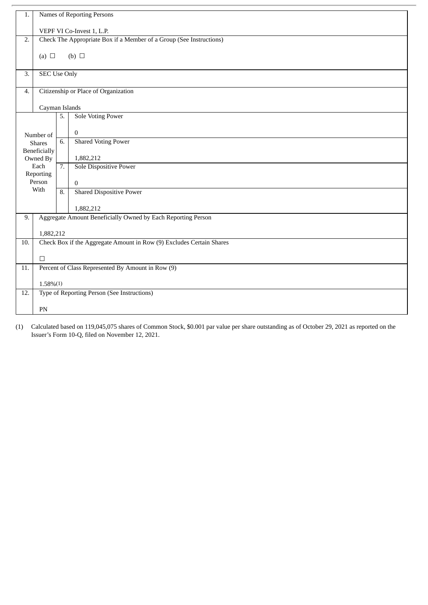| 1.  |                                                                     |    | Names of Reporting Persons                                           |  |  |
|-----|---------------------------------------------------------------------|----|----------------------------------------------------------------------|--|--|
|     |                                                                     |    |                                                                      |  |  |
|     | VEPF VI Co-Invest 1, L.P.                                           |    |                                                                      |  |  |
| 2.  | Check The Appropriate Box if a Member of a Group (See Instructions) |    |                                                                      |  |  |
|     | (a) $\Box$                                                          |    | (b) $\Box$                                                           |  |  |
|     |                                                                     |    |                                                                      |  |  |
| 3.  | <b>SEC Use Only</b>                                                 |    |                                                                      |  |  |
| 4.  |                                                                     |    | Citizenship or Place of Organization                                 |  |  |
|     |                                                                     |    |                                                                      |  |  |
|     | Cayman Islands                                                      |    |                                                                      |  |  |
|     |                                                                     | 5. | <b>Sole Voting Power</b>                                             |  |  |
|     |                                                                     |    | $\mathbf{0}$                                                         |  |  |
|     | Number of<br><b>Shares</b>                                          | 6. | <b>Shared Voting Power</b>                                           |  |  |
|     | Beneficially                                                        |    |                                                                      |  |  |
|     | Owned By                                                            |    | 1,882,212                                                            |  |  |
|     | Each                                                                | 7. | Sole Dispositive Power                                               |  |  |
|     | Reporting<br>Person                                                 |    | $\overline{0}$                                                       |  |  |
|     | With                                                                | 8. | <b>Shared Dispositive Power</b>                                      |  |  |
|     |                                                                     |    |                                                                      |  |  |
|     |                                                                     |    | 1,882,212                                                            |  |  |
| 9.  |                                                                     |    | Aggregate Amount Beneficially Owned by Each Reporting Person         |  |  |
|     | 1,882,212                                                           |    |                                                                      |  |  |
| 10. |                                                                     |    | Check Box if the Aggregate Amount in Row (9) Excludes Certain Shares |  |  |
|     |                                                                     |    |                                                                      |  |  |
|     | $\Box$                                                              |    |                                                                      |  |  |
| 11. |                                                                     |    | Percent of Class Represented By Amount in Row (9)                    |  |  |
|     | $1.58\%(1)$                                                         |    |                                                                      |  |  |
| 12. |                                                                     |    | Type of Reporting Person (See Instructions)                          |  |  |
|     |                                                                     |    |                                                                      |  |  |
|     | PN                                                                  |    |                                                                      |  |  |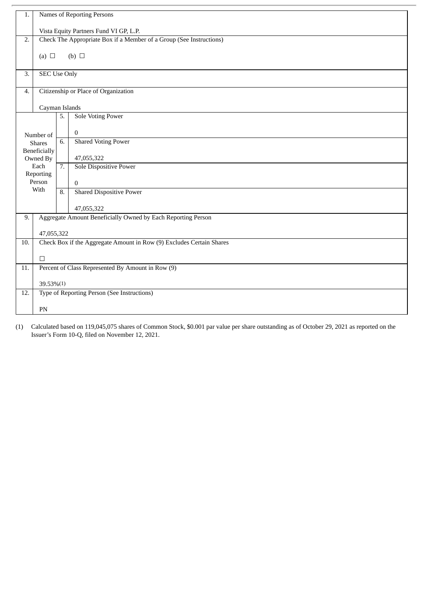| 1.  |                                                                     |                  | Names of Reporting Persons                                           |  |  |
|-----|---------------------------------------------------------------------|------------------|----------------------------------------------------------------------|--|--|
|     | Vista Equity Partners Fund VI GP, L.P.                              |                  |                                                                      |  |  |
| 2.  | Check The Appropriate Box if a Member of a Group (See Instructions) |                  |                                                                      |  |  |
|     | (a) $\Box$                                                          |                  | (b) $\Box$                                                           |  |  |
|     |                                                                     |                  |                                                                      |  |  |
| 3.  | <b>SEC Use Only</b>                                                 |                  |                                                                      |  |  |
| 4.  |                                                                     |                  | Citizenship or Place of Organization                                 |  |  |
|     |                                                                     |                  |                                                                      |  |  |
|     | Cayman Islands                                                      | 5.               | <b>Sole Voting Power</b>                                             |  |  |
|     |                                                                     |                  |                                                                      |  |  |
|     | Number of                                                           |                  | $\mathbf{0}$                                                         |  |  |
|     | <b>Shares</b>                                                       | 6.               | <b>Shared Voting Power</b>                                           |  |  |
|     | <b>Beneficially</b><br>Owned By                                     |                  | 47,055,322                                                           |  |  |
|     | Each                                                                | $\overline{7}$ . | Sole Dispositive Power                                               |  |  |
|     | Reporting<br>Person                                                 |                  |                                                                      |  |  |
|     | With                                                                | 8.               | $\Omega$<br><b>Shared Dispositive Power</b>                          |  |  |
|     |                                                                     |                  |                                                                      |  |  |
|     |                                                                     |                  | 47,055,322                                                           |  |  |
| 9.  |                                                                     |                  | Aggregate Amount Beneficially Owned by Each Reporting Person         |  |  |
|     | 47,055,322                                                          |                  |                                                                      |  |  |
| 10. |                                                                     |                  | Check Box if the Aggregate Amount in Row (9) Excludes Certain Shares |  |  |
|     | $\Box$                                                              |                  |                                                                      |  |  |
| 11. |                                                                     |                  | Percent of Class Represented By Amount in Row (9)                    |  |  |
|     |                                                                     |                  |                                                                      |  |  |
|     | 39.53%(1)                                                           |                  |                                                                      |  |  |
| 12. |                                                                     |                  | Type of Reporting Person (See Instructions)                          |  |  |
|     | PN                                                                  |                  |                                                                      |  |  |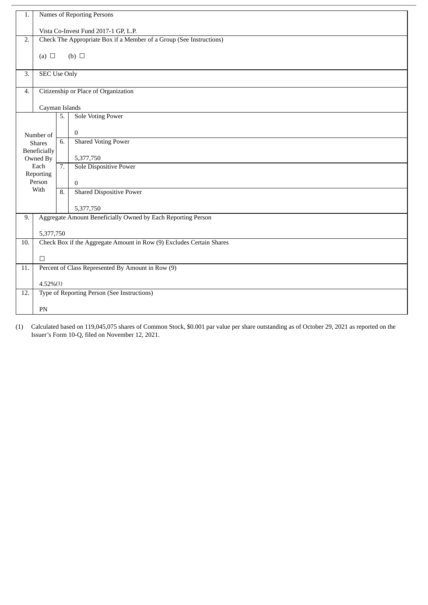| 1.  | Names of Reporting Persons |                  |                                                                      |  |  |
|-----|----------------------------|------------------|----------------------------------------------------------------------|--|--|
|     |                            |                  |                                                                      |  |  |
|     |                            |                  | Vista Co-Invest Fund 2017-1 GP, L.P.                                 |  |  |
| 2.  |                            |                  | Check The Appropriate Box if a Member of a Group (See Instructions)  |  |  |
|     |                            |                  |                                                                      |  |  |
|     | (a) $\Box$                 |                  | (b) $\Box$                                                           |  |  |
|     |                            |                  |                                                                      |  |  |
| 3.  | <b>SEC Use Only</b>        |                  |                                                                      |  |  |
|     |                            |                  |                                                                      |  |  |
| 4.  |                            |                  | Citizenship or Place of Organization                                 |  |  |
|     |                            |                  |                                                                      |  |  |
|     | Cayman Islands             |                  |                                                                      |  |  |
|     |                            | 5.               | <b>Sole Voting Power</b>                                             |  |  |
|     |                            |                  |                                                                      |  |  |
|     |                            |                  | $\mathbf{0}$                                                         |  |  |
|     | Number of<br><b>Shares</b> | 6.               | <b>Shared Voting Power</b>                                           |  |  |
|     | <b>Beneficially</b>        |                  |                                                                      |  |  |
|     | Owned By                   |                  | 5,377,750                                                            |  |  |
|     | Each                       | $\overline{7}$ . | <b>Sole Dispositive Power</b>                                        |  |  |
|     | Reporting                  |                  |                                                                      |  |  |
|     | Person                     |                  |                                                                      |  |  |
|     | With                       |                  | $\mathbf{0}$                                                         |  |  |
|     |                            | 8.               | <b>Shared Dispositive Power</b>                                      |  |  |
|     |                            |                  |                                                                      |  |  |
|     |                            |                  | 5,377,750                                                            |  |  |
| 9.  |                            |                  | Aggregate Amount Beneficially Owned by Each Reporting Person         |  |  |
|     |                            |                  |                                                                      |  |  |
|     | 5,377,750                  |                  |                                                                      |  |  |
| 10. |                            |                  | Check Box if the Aggregate Amount in Row (9) Excludes Certain Shares |  |  |
|     |                            |                  |                                                                      |  |  |
|     | $\Box$                     |                  |                                                                      |  |  |
| 11. |                            |                  | Percent of Class Represented By Amount in Row (9)                    |  |  |
|     |                            |                  |                                                                      |  |  |
|     | $4.52\%(1)$                |                  |                                                                      |  |  |
| 12. |                            |                  | Type of Reporting Person (See Instructions)                          |  |  |
|     |                            |                  |                                                                      |  |  |
|     | PN                         |                  |                                                                      |  |  |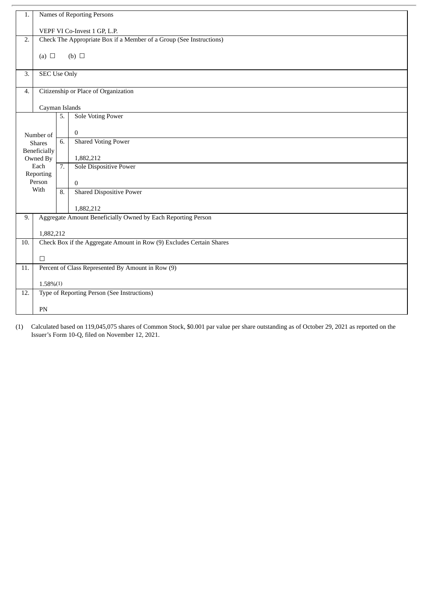| 1.  | Names of Reporting Persons                                          |    |                                                                      |  |  |
|-----|---------------------------------------------------------------------|----|----------------------------------------------------------------------|--|--|
|     | VEPF VI Co-Invest 1 GP, L.P.                                        |    |                                                                      |  |  |
| 2.  | Check The Appropriate Box if a Member of a Group (See Instructions) |    |                                                                      |  |  |
|     | (a) $\Box$                                                          |    | (b) $\Box$                                                           |  |  |
|     |                                                                     |    |                                                                      |  |  |
| 3.  | <b>SEC Use Only</b>                                                 |    |                                                                      |  |  |
| 4.  |                                                                     |    | Citizenship or Place of Organization                                 |  |  |
|     | Cayman Islands                                                      |    |                                                                      |  |  |
|     |                                                                     | 5. | <b>Sole Voting Power</b>                                             |  |  |
|     | Number of                                                           |    | $\Omega$                                                             |  |  |
|     | <b>Shares</b>                                                       | 6. | <b>Shared Voting Power</b>                                           |  |  |
|     | <b>Beneficially</b><br>Owned By                                     |    | 1,882,212                                                            |  |  |
|     | Each                                                                | 7. | Sole Dispositive Power                                               |  |  |
|     | Reporting<br>Person                                                 |    | $\mathbf{0}$                                                         |  |  |
|     | With                                                                | 8. | <b>Shared Dispositive Power</b>                                      |  |  |
|     |                                                                     |    | 1,882,212                                                            |  |  |
| 9.  |                                                                     |    | Aggregate Amount Beneficially Owned by Each Reporting Person         |  |  |
|     |                                                                     |    |                                                                      |  |  |
| 10. | 1,882,212                                                           |    | Check Box if the Aggregate Amount in Row (9) Excludes Certain Shares |  |  |
|     |                                                                     |    |                                                                      |  |  |
| 11. | $\Box$<br>Percent of Class Represented By Amount in Row (9)         |    |                                                                      |  |  |
|     |                                                                     |    |                                                                      |  |  |
|     | $1.58\%(1)$                                                         |    |                                                                      |  |  |
| 12. |                                                                     |    | Type of Reporting Person (See Instructions)                          |  |  |
|     | PN                                                                  |    |                                                                      |  |  |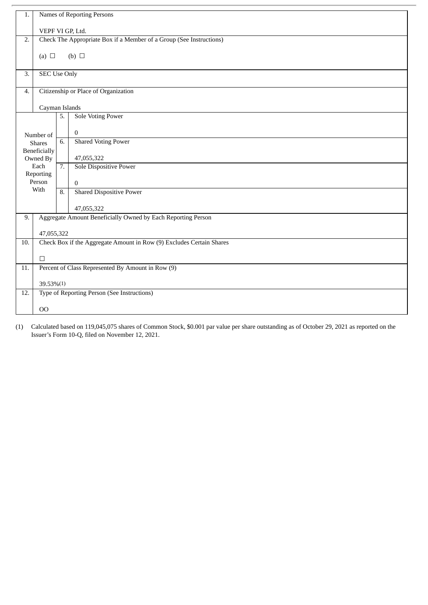| 1.  | Names of Reporting Persons                                  |                  |                                                                      |  |
|-----|-------------------------------------------------------------|------------------|----------------------------------------------------------------------|--|
|     | VEPF VI GP, Ltd.                                            |                  |                                                                      |  |
| 2.  |                                                             |                  | Check The Appropriate Box if a Member of a Group (See Instructions)  |  |
|     |                                                             |                  |                                                                      |  |
|     | (a) $\Box$                                                  |                  | (b) $\Box$                                                           |  |
| 3.  | <b>SEC Use Only</b>                                         |                  |                                                                      |  |
| 4.  |                                                             |                  | Citizenship or Place of Organization                                 |  |
|     |                                                             |                  |                                                                      |  |
|     | Cayman Islands                                              |                  |                                                                      |  |
|     |                                                             | 5.               | <b>Sole Voting Power</b>                                             |  |
|     | Number of                                                   |                  | $\bf{0}$                                                             |  |
|     | <b>Shares</b>                                               | 6.               | <b>Shared Voting Power</b>                                           |  |
|     | Beneficially                                                |                  |                                                                      |  |
|     | Owned By                                                    |                  | 47,055,322                                                           |  |
|     | Each<br>Reporting                                           | $\overline{7}$ . | Sole Dispositive Power                                               |  |
|     | Person                                                      |                  | $\mathbf{0}$                                                         |  |
|     | With                                                        | 8.               | <b>Shared Dispositive Power</b>                                      |  |
|     |                                                             |                  | 47,055,322                                                           |  |
| 9.  |                                                             |                  | Aggregate Amount Beneficially Owned by Each Reporting Person         |  |
|     | 47,055,322                                                  |                  |                                                                      |  |
| 10. |                                                             |                  | Check Box if the Aggregate Amount in Row (9) Excludes Certain Shares |  |
|     |                                                             |                  |                                                                      |  |
|     | $\Box$<br>Percent of Class Represented By Amount in Row (9) |                  |                                                                      |  |
| 11. |                                                             |                  |                                                                      |  |
|     | 39.53%(1)                                                   |                  |                                                                      |  |
| 12. |                                                             |                  | Type of Reporting Person (See Instructions)                          |  |
|     | 00                                                          |                  |                                                                      |  |
|     |                                                             |                  |                                                                      |  |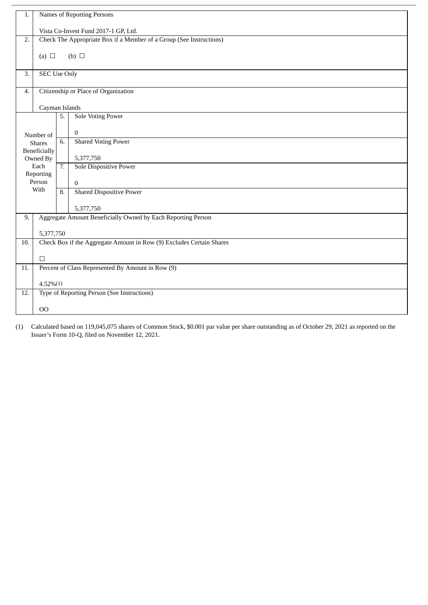| 1.  |                                                                     |                  | Names of Reporting Persons                                           |  |  |
|-----|---------------------------------------------------------------------|------------------|----------------------------------------------------------------------|--|--|
|     | Vista Co-Invest Fund 2017-1 GP, Ltd.                                |                  |                                                                      |  |  |
| 2.  | Check The Appropriate Box if a Member of a Group (See Instructions) |                  |                                                                      |  |  |
|     |                                                                     |                  |                                                                      |  |  |
|     | (a) $\Box$                                                          |                  | (b) $\Box$                                                           |  |  |
| 3.  | <b>SEC Use Only</b>                                                 |                  |                                                                      |  |  |
| 4.  |                                                                     |                  | Citizenship or Place of Organization                                 |  |  |
|     | Cayman Islands                                                      |                  |                                                                      |  |  |
|     |                                                                     | 5.               | <b>Sole Voting Power</b>                                             |  |  |
|     | Number of                                                           |                  | $\Omega$                                                             |  |  |
|     | <b>Shares</b>                                                       | 6.               | <b>Shared Voting Power</b>                                           |  |  |
|     | <b>Beneficially</b><br>Owned By                                     |                  | 5,377,750                                                            |  |  |
|     | Each                                                                | $\overline{7}$ . | <b>Sole Dispositive Power</b>                                        |  |  |
|     | Reporting<br>Person                                                 |                  | $\mathbf{0}$                                                         |  |  |
|     | With                                                                | 8.               | <b>Shared Dispositive Power</b>                                      |  |  |
|     |                                                                     |                  | 5,377,750                                                            |  |  |
| 9.  |                                                                     |                  | Aggregate Amount Beneficially Owned by Each Reporting Person         |  |  |
|     |                                                                     |                  |                                                                      |  |  |
| 10. | 5,377,750                                                           |                  | Check Box if the Aggregate Amount in Row (9) Excludes Certain Shares |  |  |
|     |                                                                     |                  |                                                                      |  |  |
|     | $\Box$                                                              |                  |                                                                      |  |  |
| 11. |                                                                     |                  | Percent of Class Represented By Amount in Row (9)                    |  |  |
|     | $4.52\%(1)$                                                         |                  |                                                                      |  |  |
| 12. |                                                                     |                  | Type of Reporting Person (See Instructions)                          |  |  |
|     | 00                                                                  |                  |                                                                      |  |  |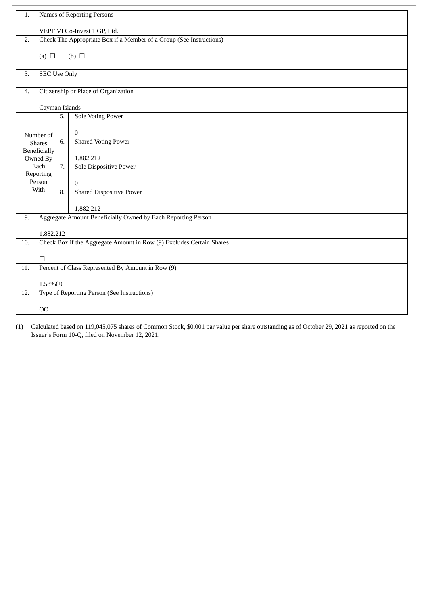| 1.  | Names of Reporting Persons                                          |    |                                                                      |  |  |
|-----|---------------------------------------------------------------------|----|----------------------------------------------------------------------|--|--|
|     | VEPF VI Co-Invest 1 GP, Ltd.                                        |    |                                                                      |  |  |
| 2.  | Check The Appropriate Box if a Member of a Group (See Instructions) |    |                                                                      |  |  |
|     | (a) $\Box$                                                          |    | (b) $\Box$                                                           |  |  |
|     |                                                                     |    |                                                                      |  |  |
| 3.  | <b>SEC Use Only</b>                                                 |    |                                                                      |  |  |
| 4.  |                                                                     |    | Citizenship or Place of Organization                                 |  |  |
|     | Cayman Islands                                                      |    |                                                                      |  |  |
|     |                                                                     | 5. | <b>Sole Voting Power</b>                                             |  |  |
|     |                                                                     |    | $\Omega$                                                             |  |  |
|     | Number of<br><b>Shares</b>                                          | 6. | <b>Shared Voting Power</b>                                           |  |  |
|     | <b>Beneficially</b>                                                 |    | 1,882,212                                                            |  |  |
|     | Owned By<br>Each                                                    | 7. | Sole Dispositive Power                                               |  |  |
|     | Reporting                                                           |    |                                                                      |  |  |
|     | Person<br>With                                                      | 8. | $\mathbf{0}$<br><b>Shared Dispositive Power</b>                      |  |  |
|     |                                                                     |    |                                                                      |  |  |
|     |                                                                     |    | 1,882,212                                                            |  |  |
| 9.  |                                                                     |    | Aggregate Amount Beneficially Owned by Each Reporting Person         |  |  |
|     | 1,882,212                                                           |    |                                                                      |  |  |
| 10. |                                                                     |    | Check Box if the Aggregate Amount in Row (9) Excludes Certain Shares |  |  |
|     | $\Box$                                                              |    |                                                                      |  |  |
| 11. |                                                                     |    | Percent of Class Represented By Amount in Row (9)                    |  |  |
|     | $1.58\%(1)$                                                         |    |                                                                      |  |  |
| 12. |                                                                     |    | Type of Reporting Person (See Instructions)                          |  |  |
|     |                                                                     |    |                                                                      |  |  |
|     | O <sub>O</sub>                                                      |    |                                                                      |  |  |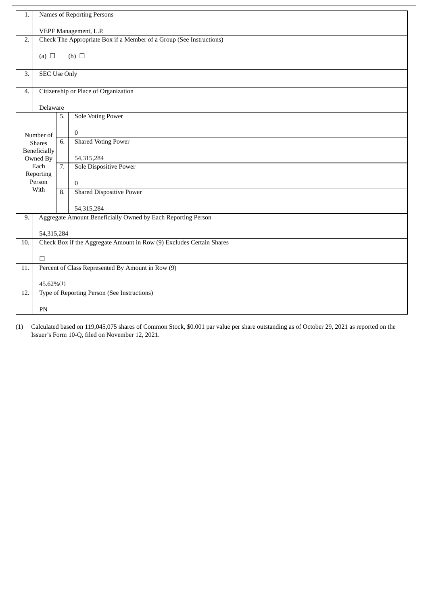| 1.  | Names of Reporting Persons                                           |                  |                                                              |  |  |
|-----|----------------------------------------------------------------------|------------------|--------------------------------------------------------------|--|--|
|     | VEPF Management, L.P.                                                |                  |                                                              |  |  |
| 2.  | Check The Appropriate Box if a Member of a Group (See Instructions)  |                  |                                                              |  |  |
|     | (a) $\Box$                                                           |                  | (b) $\Box$                                                   |  |  |
|     |                                                                      |                  |                                                              |  |  |
| 3.  | <b>SEC Use Only</b>                                                  |                  |                                                              |  |  |
| 4.  |                                                                      |                  | Citizenship or Place of Organization                         |  |  |
|     | Delaware                                                             |                  |                                                              |  |  |
|     |                                                                      | 5.               | <b>Sole Voting Power</b>                                     |  |  |
|     | Number of                                                            |                  | $\mathbf{0}$                                                 |  |  |
|     | <b>Shares</b>                                                        | 6.               | <b>Shared Voting Power</b>                                   |  |  |
|     | <b>Beneficially</b><br>Owned By                                      |                  | 54,315,284                                                   |  |  |
|     | Each                                                                 | $\overline{7}$ . | Sole Dispositive Power                                       |  |  |
|     | Reporting<br>Person                                                  |                  | $\Omega$                                                     |  |  |
|     | With                                                                 | 8.               | <b>Shared Dispositive Power</b>                              |  |  |
|     |                                                                      |                  | 54,315,284                                                   |  |  |
| 9.  |                                                                      |                  | Aggregate Amount Beneficially Owned by Each Reporting Person |  |  |
|     | 54,315,284                                                           |                  |                                                              |  |  |
| 10. | Check Box if the Aggregate Amount in Row (9) Excludes Certain Shares |                  |                                                              |  |  |
|     | $\Box$                                                               |                  |                                                              |  |  |
| 11. |                                                                      |                  | Percent of Class Represented By Amount in Row (9)            |  |  |
|     | 45.62%(1)                                                            |                  |                                                              |  |  |
| 12. |                                                                      |                  | Type of Reporting Person (See Instructions)                  |  |  |
|     | PN                                                                   |                  |                                                              |  |  |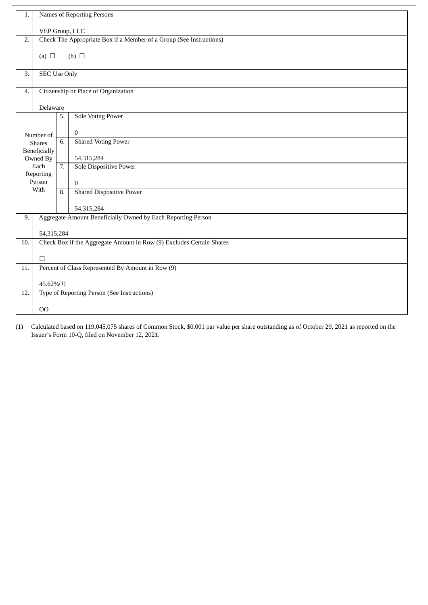| 1.  | Names of Reporting Persons                                           |                  |                                                   |  |  |  |  |  |
|-----|----------------------------------------------------------------------|------------------|---------------------------------------------------|--|--|--|--|--|
|     |                                                                      |                  |                                                   |  |  |  |  |  |
|     |                                                                      | VEP Group, LLC   |                                                   |  |  |  |  |  |
| 2.  | Check The Appropriate Box if a Member of a Group (See Instructions)  |                  |                                                   |  |  |  |  |  |
|     |                                                                      |                  |                                                   |  |  |  |  |  |
|     | (a) $\Box$<br>(b) $\Box$                                             |                  |                                                   |  |  |  |  |  |
|     |                                                                      |                  |                                                   |  |  |  |  |  |
| 3.  | <b>SEC Use Only</b>                                                  |                  |                                                   |  |  |  |  |  |
|     |                                                                      |                  |                                                   |  |  |  |  |  |
| 4.  | Citizenship or Place of Organization                                 |                  |                                                   |  |  |  |  |  |
|     |                                                                      |                  |                                                   |  |  |  |  |  |
|     | Delaware                                                             |                  |                                                   |  |  |  |  |  |
|     |                                                                      | 5.               | <b>Sole Voting Power</b>                          |  |  |  |  |  |
|     |                                                                      |                  |                                                   |  |  |  |  |  |
|     | Number of                                                            |                  | $\boldsymbol{0}$                                  |  |  |  |  |  |
|     | <b>Shares</b>                                                        | 6.               | <b>Shared Voting Power</b>                        |  |  |  |  |  |
|     | Beneficially                                                         |                  |                                                   |  |  |  |  |  |
|     | Owned By                                                             |                  | 54,315,284                                        |  |  |  |  |  |
|     | Each                                                                 | $\overline{7}$ . | Sole Dispositive Power                            |  |  |  |  |  |
|     | Reporting                                                            |                  |                                                   |  |  |  |  |  |
|     | Person                                                               |                  | $\mathbf{0}$                                      |  |  |  |  |  |
|     | With                                                                 | 8.               | <b>Shared Dispositive Power</b>                   |  |  |  |  |  |
|     |                                                                      |                  |                                                   |  |  |  |  |  |
|     |                                                                      |                  | 54,315,284                                        |  |  |  |  |  |
| 9.  | Aggregate Amount Beneficially Owned by Each Reporting Person         |                  |                                                   |  |  |  |  |  |
|     |                                                                      |                  |                                                   |  |  |  |  |  |
|     |                                                                      | 54,315,284       |                                                   |  |  |  |  |  |
| 10. | Check Box if the Aggregate Amount in Row (9) Excludes Certain Shares |                  |                                                   |  |  |  |  |  |
|     |                                                                      |                  |                                                   |  |  |  |  |  |
|     | $\Box$                                                               |                  |                                                   |  |  |  |  |  |
| 11. |                                                                      |                  | Percent of Class Represented By Amount in Row (9) |  |  |  |  |  |
|     |                                                                      |                  |                                                   |  |  |  |  |  |
|     | $45.62\%(1)$                                                         |                  |                                                   |  |  |  |  |  |
| 12. |                                                                      |                  | Type of Reporting Person (See Instructions)       |  |  |  |  |  |
|     |                                                                      |                  |                                                   |  |  |  |  |  |
|     | 00                                                                   |                  |                                                   |  |  |  |  |  |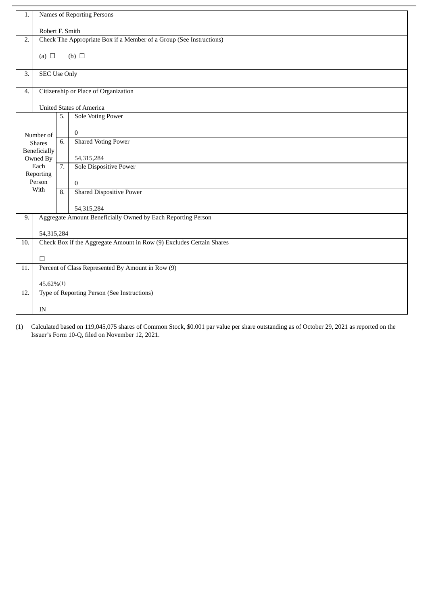| 1.                                                 | Names of Reporting Persons                                          |    |                                                                      |  |  |  |  |
|----------------------------------------------------|---------------------------------------------------------------------|----|----------------------------------------------------------------------|--|--|--|--|
|                                                    | Robert F. Smith                                                     |    |                                                                      |  |  |  |  |
| 2.                                                 | Check The Appropriate Box if a Member of a Group (See Instructions) |    |                                                                      |  |  |  |  |
|                                                    |                                                                     |    |                                                                      |  |  |  |  |
| (b) $\Box$<br>(a) $\Box$                           |                                                                     |    |                                                                      |  |  |  |  |
| 3.                                                 |                                                                     |    |                                                                      |  |  |  |  |
|                                                    | <b>SEC Use Only</b>                                                 |    |                                                                      |  |  |  |  |
| 4.                                                 |                                                                     |    | Citizenship or Place of Organization                                 |  |  |  |  |
|                                                    | <b>United States of America</b>                                     |    |                                                                      |  |  |  |  |
|                                                    |                                                                     | 5. | <b>Sole Voting Power</b>                                             |  |  |  |  |
|                                                    |                                                                     |    |                                                                      |  |  |  |  |
|                                                    | Number of                                                           |    | $\bf{0}$                                                             |  |  |  |  |
|                                                    | <b>Shares</b>                                                       | 6. | <b>Shared Voting Power</b>                                           |  |  |  |  |
|                                                    | <b>Beneficially</b><br>Owned By                                     |    | 54,315,284                                                           |  |  |  |  |
|                                                    | Each                                                                | 7. | Sole Dispositive Power                                               |  |  |  |  |
|                                                    | Reporting                                                           |    |                                                                      |  |  |  |  |
|                                                    | Person                                                              |    | $\overline{0}$                                                       |  |  |  |  |
|                                                    | With                                                                |    | <b>Shared Dispositive Power</b>                                      |  |  |  |  |
|                                                    |                                                                     |    | 54,315,284                                                           |  |  |  |  |
| 9.                                                 | Aggregate Amount Beneficially Owned by Each Reporting Person        |    |                                                                      |  |  |  |  |
|                                                    | 54,315,284                                                          |    |                                                                      |  |  |  |  |
| 10.                                                |                                                                     |    | Check Box if the Aggregate Amount in Row (9) Excludes Certain Shares |  |  |  |  |
|                                                    |                                                                     |    |                                                                      |  |  |  |  |
|                                                    | П                                                                   |    |                                                                      |  |  |  |  |
| 11.                                                |                                                                     |    | Percent of Class Represented By Amount in Row (9)                    |  |  |  |  |
|                                                    | 45.62%(1)                                                           |    |                                                                      |  |  |  |  |
| Type of Reporting Person (See Instructions)<br>12. |                                                                     |    |                                                                      |  |  |  |  |
| IN                                                 |                                                                     |    |                                                                      |  |  |  |  |
|                                                    |                                                                     |    |                                                                      |  |  |  |  |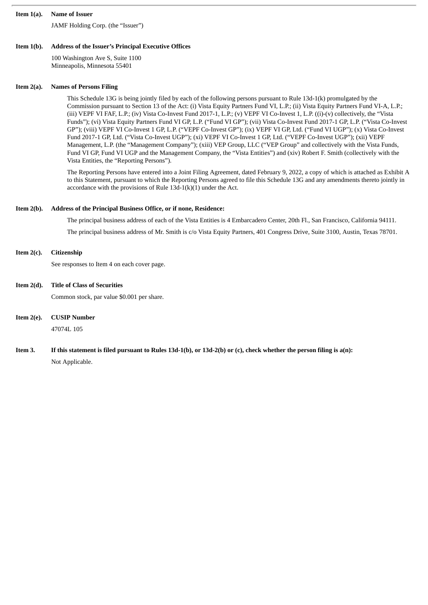#### **Item 1(a). Name of Issuer**

JAMF Holding Corp. (the "Issuer")

#### **Item 1(b). Address of the Issuer's Principal Executive Offices**

100 Washington Ave S, Suite 1100 Minneapolis, Minnesota 55401

#### **Item 2(a). Names of Persons Filing**

This Schedule 13G is being jointly filed by each of the following persons pursuant to Rule 13d-1(k) promulgated by the Commission pursuant to Section 13 of the Act: (i) Vista Equity Partners Fund VI, L.P.; (ii) Vista Equity Partners Fund VI-A, L.P.; (iii) VEPF VI FAF, L.P.; (iv) Vista Co-Invest Fund 2017-1, L.P.; (v) VEPF VI Co-Invest 1, L.P. ((i)-(v) collectively, the "Vista Funds"); (vi) Vista Equity Partners Fund VI GP, L.P. ("Fund VI GP"); (vii) Vista Co-Invest Fund 2017-1 GP, L.P. ("Vista Co-Invest GP"); (viii) VEPF VI Co-Invest 1 GP, L.P. ("VEPF Co-Invest GP"); (ix) VEPF VI GP, Ltd. ("Fund VI UGP"); (x) Vista Co-Invest Fund 2017-1 GP, Ltd. ("Vista Co-Invest UGP"); (xi) VEPF VI Co-Invest 1 GP, Ltd. ("VEPF Co-Invest UGP"); (xii) VEPF Management, L.P. (the "Management Company"); (xiii) VEP Group, LLC ("VEP Group" and collectively with the Vista Funds, Fund VI GP, Fund VI UGP and the Management Company, the "Vista Entities") and (xiv) Robert F. Smith (collectively with the Vista Entities, the "Reporting Persons").

The Reporting Persons have entered into a Joint Filing Agreement, dated February 9, 2022, a copy of which is attached as Exhibit A to this Statement, pursuant to which the Reporting Persons agreed to file this Schedule 13G and any amendments thereto jointly in accordance with the provisions of Rule 13d-1(k)(1) under the Act.

# **Item 2(b). Address of the Principal Business Office, or if none, Residence:**

The principal business address of each of the Vista Entities is 4 Embarcadero Center, 20th Fl., San Francisco, California 94111. The principal business address of Mr. Smith is c/o Vista Equity Partners, 401 Congress Drive, Suite 3100, Austin, Texas 78701.

#### **Item 2(c). Citizenship**

See responses to Item 4 on each cover page.

**Item 2(d). Title of Class of Securities**

Common stock, par value \$0.001 per share.

**Item 2(e). CUSIP Number**

47074L 105

Item 3. If this statement is filed pursuant to Rules 13d-1(b), or 13d-2(b) or (c), check whether the person filing is a(n): Not Applicable.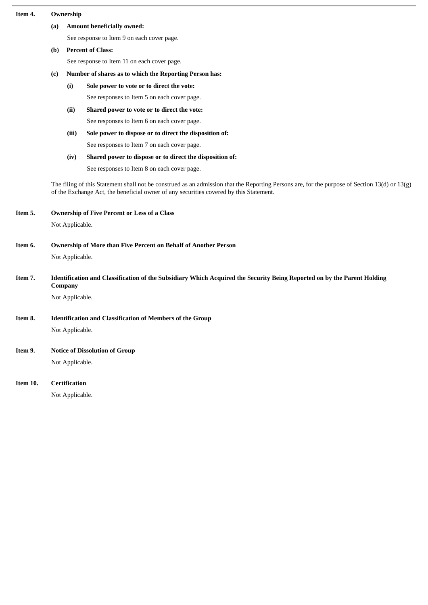| Item 4.                                                                                                                                                                                                                                 | Ownership                                                                                                                                 |                                                                  |                                                          |  |  |  |  |  |
|-----------------------------------------------------------------------------------------------------------------------------------------------------------------------------------------------------------------------------------------|-------------------------------------------------------------------------------------------------------------------------------------------|------------------------------------------------------------------|----------------------------------------------------------|--|--|--|--|--|
|                                                                                                                                                                                                                                         | (a)                                                                                                                                       | <b>Amount beneficially owned:</b>                                |                                                          |  |  |  |  |  |
|                                                                                                                                                                                                                                         |                                                                                                                                           | See response to Item 9 on each cover page.                       |                                                          |  |  |  |  |  |
|                                                                                                                                                                                                                                         | (b)                                                                                                                                       | <b>Percent of Class:</b>                                         |                                                          |  |  |  |  |  |
|                                                                                                                                                                                                                                         |                                                                                                                                           | See response to Item 11 on each cover page.                      |                                                          |  |  |  |  |  |
|                                                                                                                                                                                                                                         | (c)                                                                                                                                       | Number of shares as to which the Reporting Person has:           |                                                          |  |  |  |  |  |
|                                                                                                                                                                                                                                         |                                                                                                                                           | (i)                                                              | Sole power to vote or to direct the vote:                |  |  |  |  |  |
|                                                                                                                                                                                                                                         |                                                                                                                                           |                                                                  | See responses to Item 5 on each cover page.              |  |  |  |  |  |
|                                                                                                                                                                                                                                         |                                                                                                                                           | (ii)                                                             | Shared power to vote or to direct the vote:              |  |  |  |  |  |
|                                                                                                                                                                                                                                         |                                                                                                                                           |                                                                  | See responses to Item 6 on each cover page.              |  |  |  |  |  |
|                                                                                                                                                                                                                                         |                                                                                                                                           | (iii)                                                            | Sole power to dispose or to direct the disposition of:   |  |  |  |  |  |
|                                                                                                                                                                                                                                         |                                                                                                                                           |                                                                  | See responses to Item 7 on each cover page.              |  |  |  |  |  |
|                                                                                                                                                                                                                                         |                                                                                                                                           | (iv)                                                             | Shared power to dispose or to direct the disposition of: |  |  |  |  |  |
|                                                                                                                                                                                                                                         |                                                                                                                                           |                                                                  | See responses to Item 8 on each cover page.              |  |  |  |  |  |
| The filing of this Statement shall not be construed as an admission that the Reporting Persons are, for the purpose of Section 13(d) or 13(g)<br>of the Exchange Act, the beneficial owner of any securities covered by this Statement. |                                                                                                                                           |                                                                  |                                                          |  |  |  |  |  |
| Item 5.                                                                                                                                                                                                                                 | <b>Ownership of Five Percent or Less of a Class</b>                                                                                       |                                                                  |                                                          |  |  |  |  |  |
|                                                                                                                                                                                                                                         | Not Applicable.                                                                                                                           |                                                                  |                                                          |  |  |  |  |  |
| Item 6.                                                                                                                                                                                                                                 | Ownership of More than Five Percent on Behalf of Another Person                                                                           |                                                                  |                                                          |  |  |  |  |  |
|                                                                                                                                                                                                                                         |                                                                                                                                           | Not Applicable.                                                  |                                                          |  |  |  |  |  |
| Item 7.                                                                                                                                                                                                                                 | Identification and Classification of the Subsidiary Which Acquired the Security Being Reported on by the Parent Holding<br><b>Company</b> |                                                                  |                                                          |  |  |  |  |  |
|                                                                                                                                                                                                                                         |                                                                                                                                           | Not Applicable.                                                  |                                                          |  |  |  |  |  |
| Item 8.                                                                                                                                                                                                                                 |                                                                                                                                           | <b>Identification and Classification of Members of the Group</b> |                                                          |  |  |  |  |  |
|                                                                                                                                                                                                                                         |                                                                                                                                           | Not Applicable.                                                  |                                                          |  |  |  |  |  |
| Item 9.                                                                                                                                                                                                                                 | <b>Notice of Dissolution of Group</b>                                                                                                     |                                                                  |                                                          |  |  |  |  |  |
|                                                                                                                                                                                                                                         |                                                                                                                                           | Not Applicable.                                                  |                                                          |  |  |  |  |  |
| Item 10.                                                                                                                                                                                                                                |                                                                                                                                           | <b>Certification</b>                                             |                                                          |  |  |  |  |  |
|                                                                                                                                                                                                                                         |                                                                                                                                           | Not Applicable.                                                  |                                                          |  |  |  |  |  |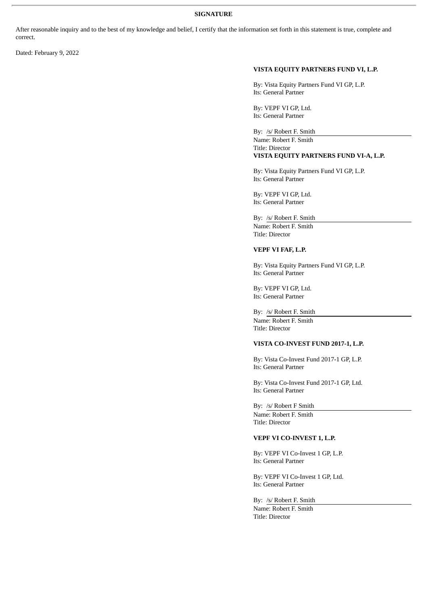#### **SIGNATURE**

After reasonable inquiry and to the best of my knowledge and belief, I certify that the information set forth in this statement is true, complete and correct.

Dated: February 9, 2022

# **VISTA EQUITY PARTNERS FUND VI, L.P.**

By: Vista Equity Partners Fund VI GP, L.P. Its: General Partner

By: VEPF VI GP, Ltd. Its: General Partner

By: /s/ Robert F. Smith

Name: Robert F. Smith Title: Director **VISTA EQUITY PARTNERS FUND VI-A, L.P.**

By: Vista Equity Partners Fund VI GP, L.P. Its: General Partner

By: VEPF VI GP, Ltd. Its: General Partner

By: /s/ Robert F. Smith Name: Robert F. Smith Title: Director

#### **VEPF VI FAF, L.P.**

By: Vista Equity Partners Fund VI GP, L.P. Its: General Partner

By: VEPF VI GP, Ltd. Its: General Partner

By: /s/ Robert F. Smith Name: Robert F. Smith Title: Director

# **VISTA CO-INVEST FUND 2017-1, L.P.**

By: Vista Co-Invest Fund 2017-1 GP, L.P. Its: General Partner

By: Vista Co-Invest Fund 2017-1 GP, Ltd. Its: General Partner

By: /s/ Robert F Smith Name: Robert F. Smith Title: Director

# **VEPF VI CO-INVEST 1, L.P.**

By: VEPF VI Co-Invest 1 GP, L.P. Its: General Partner

By: VEPF VI Co-Invest 1 GP, Ltd. Its: General Partner

By: /s/ Robert F. Smith Name: Robert F. Smith Title: Director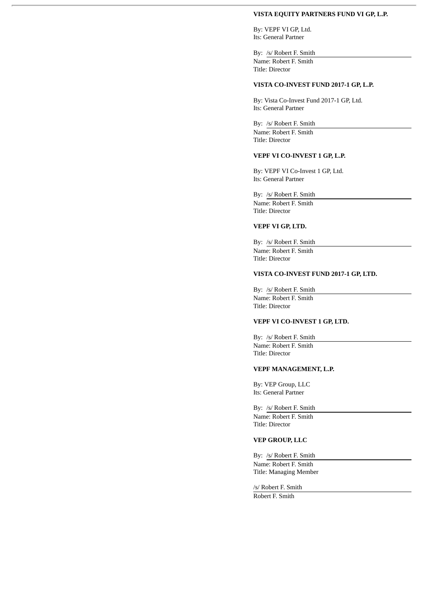#### **VISTA EQUITY PARTNERS FUND VI GP, L.P.**

By: VEPF VI GP, Ltd. Its: General Partner

By: /s/ Robert F. Smith Name: Robert F. Smith Title: Director

#### **VISTA CO-INVEST FUND 2017-1 GP, L.P.**

By: Vista Co-Invest Fund 2017-1 GP, Ltd. Its: General Partner

By: /s/ Robert F. Smith Name: Robert F. Smith Title: Director

#### **VEPF VI CO-INVEST 1 GP, L.P.**

By: VEPF VI Co-Invest 1 GP, Ltd. Its: General Partner

By: /s/ Robert F. Smith

Name: Robert F. Smith Title: Director

# **VEPF VI GP, LTD.**

By: /s/ Robert F. Smith Name: Robert F. Smith Title: Director

## **VISTA CO-INVEST FUND 2017-1 GP, LTD.**

By: /s/ Robert F. Smith

Name: Robert F. Smith Title: Director

# **VEPF VI CO-INVEST 1 GP, LTD.**

By: /s/ Robert F. Smith Name: Robert F. Smith Title: Director

#### **VEPF MANAGEMENT, L.P.**

By: VEP Group, LLC Its: General Partner

#### By: /s/ Robert F. Smith

Name: Robert F. Smith Title: Director

# **VEP GROUP, LLC**

By: /s/ Robert F. Smith

Name: Robert F. Smith Title: Managing Member

/s/ Robert F. Smith Robert F. Smith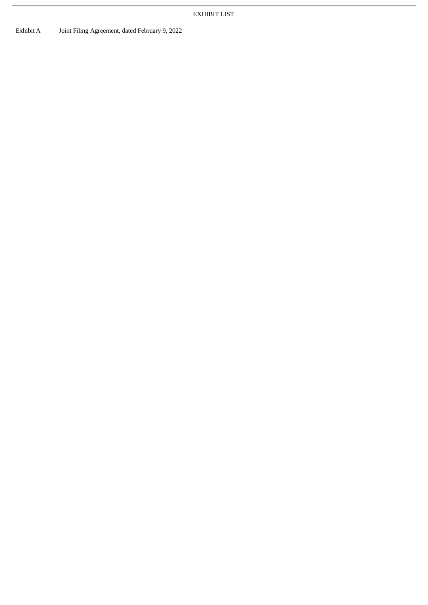Exhibit A Joint Filing Agreement, dated February 9, 2022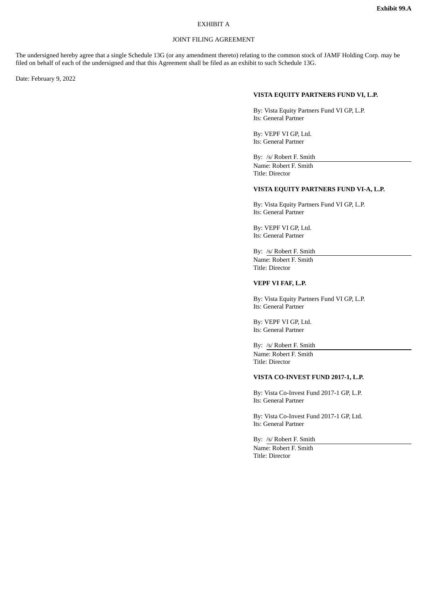# EXHIBIT A

### JOINT FILING AGREEMENT

The undersigned hereby agree that a single Schedule 13G (or any amendment thereto) relating to the common stock of JAMF Holding Corp. may be filed on behalf of each of the undersigned and that this Agreement shall be filed as an exhibit to such Schedule 13G.

Date: February 9, 2022

#### **VISTA EQUITY PARTNERS FUND VI, L.P.**

By: Vista Equity Partners Fund VI GP, L.P. Its: General Partner

By: VEPF VI GP, Ltd. Its: General Partner

By: /s/ Robert F. Smith

Name: Robert F. Smith Title: Director

#### **VISTA EQUITY PARTNERS FUND VI-A, L.P.**

By: Vista Equity Partners Fund VI GP, L.P. Its: General Partner

By: VEPF VI GP, Ltd. Its: General Partner

# By: /s/ Robert F. Smith

Name: Robert F. Smith Title: Director

#### **VEPF VI FAF, L.P.**

By: Vista Equity Partners Fund VI GP, L.P. Its: General Partner

By: VEPF VI GP, Ltd. Its: General Partner

By: /s/ Robert F. Smith Name: Robert F. Smith Title: Director

#### **VISTA CO-INVEST FUND 2017-1, L.P.**

By: Vista Co-Invest Fund 2017-1 GP, L.P. Its: General Partner

By: Vista Co-Invest Fund 2017-1 GP, Ltd. Its: General Partner

By: /s/ Robert F. Smith Name: Robert F. Smith Title: Director